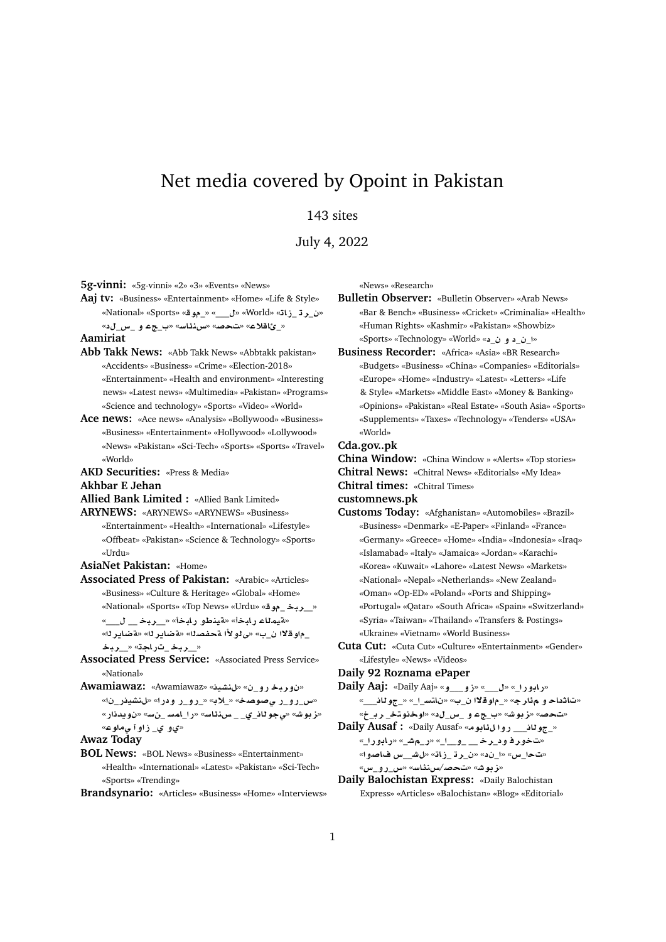# Net media covered by Opoint in Pakistan

# 143 sites

July 4, 2022

**5g-vinni:** «5g-vinni» «2» «3» «Events» «News»

**Aaj tv:** «Business» «Entertainment» «Home» «Life & Style» «National» «Sports» «**w**\_» «\_\_\_» «World» «**AE**\_ **r**\_» «\_ئاقلاع» «تحصه» «سنذاسه «ب\_جء و \_س\_لد»

## **Aamiriat**

- **Abb Takk News:** «Abb Takk News» «Abbtakk pakistan» «Accidents» «Business» «Crime» «Election-2018» «Entertainment» «Health and environment» «Interesting news» «Latest news» «Multimedia» «Pakistan» «Programs» «Science and technology» «Sports» «Video» «World»
- **Ace news:** «Ace news» «Analysis» «Bollywood» «Business» «Business» «Entertainment» «Hollywood» «Lollywood» «News» «Pakistan» «Sci-Tech» «Sports» «Sports» «Travel» «World»

**AKD Securities:** «Press & Media»

**Akhbar E Jehan**

- **Allied Bank Limited :** «Allied Bank Limited»
- **ARYNEWS:** «ARYNEWS» «ARYNEWS» «Business» «Entertainment» «Health» «International» «Lifestyle» «Offbeat» «Pakistan» «Science & Technology» «Sports» «Urdu»
- **AsiaNet Pakistan:** «Home»
- **Associated Press of Pakistan:** «Arabic» «Articles» «Business» «Culture & Heritage» «Global» «Home» «National» «Sports» «Top News» «Urdu» «**w**\_ **br**\_\_» «هيمناء رابخا» «**مينطو رابخا» «\_ربخ\_\_ ل\_\_**»

\_م|و قلاا ن\_ب» «ى لو لأا مّحفصـلـا» «a'ضايـر لـا» «مّضايـر لـا» «\_ربخ\_تراجة» «\_ربخ

- **Associated Press Service:** «Associated Press Service» «National»
- **Awamiawaz:** «Awamiawaz» «**yKn**» «\_**¤C br¤** »
	- «<u>س رو ر ی صوصح» « \_لابه « رو ر و در ا» «ل نشیدر \_ن</u> ا» «**ز بوش» «يجو ڻاذ\_ي\_ \_ س.ن**ئاسه» «را\_امس \_ن<mark>سه «نويدذ</mark>ار» «*ي وي\_ ز*او آ <sub>ص</sub>ماو ع»
- **Awaz Today**
- **BOL News:** «BOL News» «Business» «Entertainment» «Health» «International» «Latest» «Pakistan» «Sci-Tech» «Sports» «Trending»

**Brandsynario:** «Articles» «Business» «Home» «Interviews»

«News» «Research»

- **Bulletin Observer:** «Bulletin Observer» «Arab News» «Bar & Bench» «Business» «Cricket» «Criminalia» «Health» «Human Rights» «Kashmir» «Pakistan» «Showbiz» «Sports» «Technology» «World» «\_ **¤** \_\_»
- **Business Recorder:** «Africa» «Asia» «BR Research» «Budgets» «Business» «China» «Companies» «Editorials» «Europe» «Home» «Industry» «Latest» «Letters» «Life & Style» «Markets» «Middle East» «Money & Banking» «Opinions» «Pakistan» «Real Estate» «South Asia» «Sports» «Supplements» «Taxes» «Technology» «Tenders» «USA» «World»

### **Cda.gov..pk**

**China Window:** «China Window » «Alerts» «Top stories» **Chitral News:** «Chitral News» «Editorials» «My Idea» **Chitral times:** «Chitral Times»

**customnews.pk**

- **Customs Today:** «Afghanistan» «Automobiles» «Brazil» «Business» «Denmark» «E-Paper» «Finland» «France» «Germany» «Greece» «Home» «India» «Indonesia» «Iraq» «Islamabad» «Italy» «Jamaica» «Jordan» «Karachi» «Korea» «Kuwait» «Lahore» «Latest News» «Markets» «National» «Nepal» «Netherlands» «New Zealand» «Oman» «Op-ED» «Poland» «Ports and Shipping» «Portugal» «Qatar» «South Africa» «Spain» «Switzerland» «Syria» «Taiwan» «Thailand» «Transfers & Postings» «Ukraine» «Vietnam» «World Business»
- **Cuta Cut:** «Cuta Cut» «Culture» «Entertainment» «Gender» «Lifestyle» «News» «Videos»

## **Daily 92 Roznama ePaper**

- **Daily Aaj:** «Daily Aaj» «**¤**\_\_\_**¤E**» «\_\_\_» «\_**C¤AC**» «ت\ثداح و م *دَار ج*» «\_م|و قلاا ن\_ب» «ن\تس\_ا\_» «\_جو لـان\_\_\_»
	- «تحصه» «زبوشه» «ب\_جء و \_س\_ل۵» «اوخنوتخ\_ رب\_خ»
- **Daily Ausaf :** «Daily Ausaf» «**wA¶ ¤C** \_\_\_**Aw**\_» «<mark>تخور فود\_ر خ \_\_ \_و\_\_ا\_» «ر\_مش\_» «رابورا\_»</mark> «**¤}A x**\_\_**J**» «**AE**\_ **r**\_» «\_» «**x**\_» «**نز بو ش**» «<mark>تحص</mark>/س:ذاس» «س\_ر و\_س»</mark>
- **Daily Balochistan Express:** «Daily Balochistan Express» «Articles» «Balochistan» «Blog» «Editorial»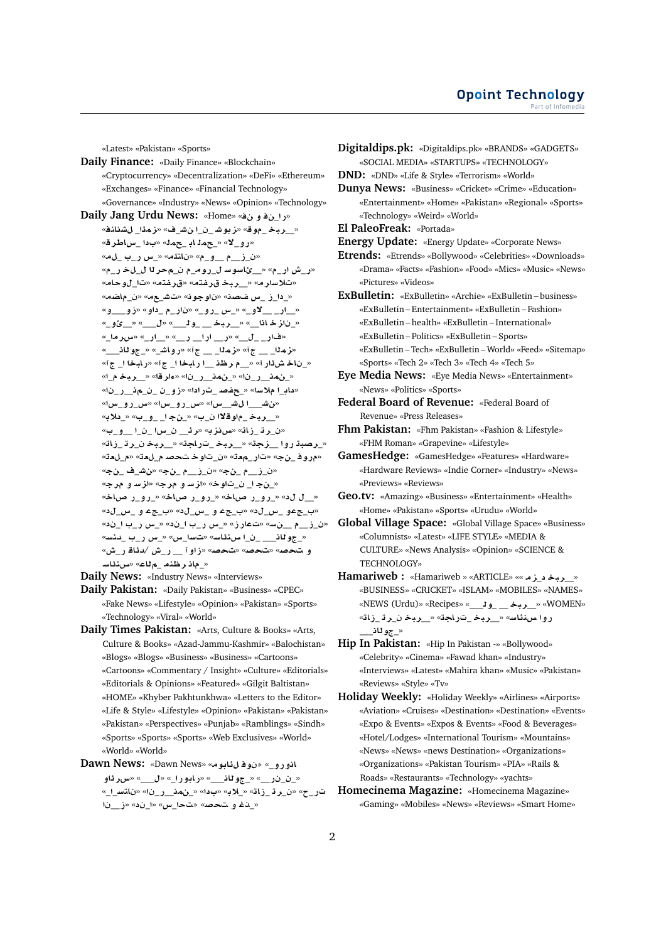«Latest» «Pakistan» «Sports» **Daily Finance:** «Daily Finance» «Blockchain» «Cryptocurrency» «Decentralization» «DeFi» «Ethereum» «Exchanges» «Finance» «Financial Technology» «Governance» «Industry» «News» «Opinion» «Technology» **Daily Jang Urdu News:** «Home» « **¤** \_**C**» « ربحْـ موقّ» «زبوشــن ان شــف» «زمدًا ل*ل*شنانف» «رو\_لا» «\_حمد ابـ\_حمد» «بدا \_ساطر ق» «ن\_ز\_\_م \_\_و\_م» «ناتلم» «\_س ر\_ب \_لمه» «ر\_ش ار\_م» «\_\_ئاسوسـ ل\_رومـ\_م ن\_محر لـا ل\_لخـر\_م» «**Aw**\_» «**tfr**» «**tfr br**\_\_» «**rF®**» «\_دا\_ز \_س ضصد» «ناوجو نه «ستش\_ع» «ن\_ماضه» «**¤**\_\_\_**¤E**» «**¤** \_ \_**C** » «\_**¤C**\_ **x**\_» «\_**¤¯**\_\_ \_**C**\_\_» «\_ن|**زخاذا » « ربخـــولـــ» «ل\_\_» «\_ي**<sup>3</sup>و\_» «\_**rx**» «\_**C**\_\_» «\_\_**C** \_\_**C** \_\_**C**» «\_\_\_ \_**C**» «زملا\_\_\_ ج<sup>7» «</sup>زملا\_\_\_ ج<sup>7» «</sup>رواش\_» «\_جو للن\_\_\_<sup>،</sup> «\_ناخ شiر آ» «\_\_م **رظذ \_\_ا رابخا ا\_ ج**آ» «رابخا ا\_ جآ» «\_ **br**\_\_» «**rº**» «\_**C**\_\_**m**\_» «\_**C**\_\_**m**\_» «\_**C**\_\_\_\_ \_**¤E**» « **C**\_ **}f**\_» «**F®** \_**A** » «**x**\_**¤C**\_**x**» «**x**\_**¤C**\_**x**» «**x**\_\_**J** \_\_\_**J**» «\_\_ربخ\_م|وقلاا ن\_ب» «\_نج1\_ و\_ب» «\_دلابه «ن\_ر ڌ \_زاڌ» «س**نز** به «رئ\_\_ ن\_سا \_ن\_ا \_\_ و\_ب» «\_**رصبة روا \_\_زجة» «\_\_ربخ\_تراجة» «\_\_ربخ** *ن\_*رة\_زاة» «مروف\_نج» «تار\_معة» «ن\_تاوختحصه م\_لعة» «م\_لعة» «\_ \_**J**» «\_ \_\_**E**\_» «\_ \_\_**E**\_» «\_ن.جـ ا\_ ن\_تاوخ» «ا<mark>ز</mark>سـ و ارجې» «از سـ و امراج «\_\_ل له» «\_رو\_ر صاخه «\_رو\_ر صاخه «\_رو\_ر صاخه «\_**x**\_ **¤** \_» «\_**x**\_ **¤** \_» «\_**x**\_ **¤**\_» «\_\_**C x**\_» «\_\_**C x**\_» «**EC** » «**F**\_\_ \_\_**E**\_» «\_جو للن\_\_\_ \_ن\_ا س.نئاسه «تسا\_س» «\_س ر\_ب \_دنسه «**M**\_**C A¶d**/ **M**\_**C** \_\_ **¤E**» «**}** » «**}** » «**}
¤** «\_ماذ رظنه \_م<sup>ل</sup>اع» «*س:ذاس* 

**Daily News:** «Industry News» «Interviews»

**Daily Pakistan:** «Daily Pakistan» «Business» «CPEC» «Fake News» «Lifestyle» «Opinion» «Pakistan» «Sports» «Technology» «Viral» «World»

- **Daily Times Pakistan:** «Arts, Culture & Books» «Arts, Culture & Books» «Azad-Jammu-Kashmir» «Balochistan» «Blogs» «Blogs» «Business» «Business» «Cartoons» «Cartoons» «Commentary / Insight» «Culture» «Editorials» «Editorials & Opinions» «Featured» «Gilgit Baltistan» «HOME» «Khyber Pakhtunkhwa» «Letters to the Editor» «Life & Style» «Lifestyle» «Opinion» «Pakistan» «Pakistan» «Pakistan» «Perspectives» «Punjab» «Ramblings» «Sindh» «Sports» «Sports» «Sports» «Web Exclusives» «World» «World» «World»
- **Dawn News:** «Dawn News» «**wA¶ w** » «\_**¤C¤A ¤¶rx**» «\_\_\_» «\_**C¤AC**» «\_\_\_**Aw**\_» «\_\_**C** \_\_» «\_\_**FtA** » «\_**C**\_\_**m**\_» «» «**®**\_» «**AE**\_ **r**\_» «\_**C** « في الله عند الله الله «الله «إن الله » «في الله » «في الله » «في الله » و

**Digitaldips.pk:** «Digitaldips.pk» «BRANDS» «GADGETS» «SOCIAL MEDIA» «STARTUPS» «TECHNOLOGY»

**DND:** «DND» «Life & Style» «Terrorism» «World»

**Dunya News:** «Business» «Cricket» «Crime» «Education» «Entertainment» «Home» «Pakistan» «Regional» «Sports» «Technology» «Weird» «World»

**El PaleoFreak:** «Portada»

**Energy Update:** «Energy Update» «Corporate News»

**Etrends:** «Etrends» «Bollywood» «Celebrities» «Downloads» «Drama» «Facts» «Fashion» «Food» «Mics» «Music» «News» «Pictures» «Videos»

**ExBulletin:** «ExBulletin» «Archie» «ExBulletin – business» «ExBulletin – Entertainment» «ExBulletin – Fashion» «ExBulletin – health» «ExBulletin – International» «ExBulletin – Politics» «ExBulletin – Sports» «ExBulletin – Tech» «ExBulletin – World» «Feed» «Sitemap» «Sports» «Tech 2» «Tech 3» «Tech 4» «Tech 5»

**Eye Media News:** «Eye Media News» «Entertainment» «News» «Politics» «Sports»

**Federal Board of Revenue:** «Federal Board of Revenue» «Press Releases»

**Fhm Pakistan:** «Fhm Pakistan» «Fashion & Lifestyle» «FHM Roman» «Grapevine» «Lifestyle»

- **GamesHedge:** «GamesHedge» «Features» «Hardware» «Hardware Reviews» «Indie Corner» «Industry» «News» «Previews» «Reviews»
- **Geo.tv:** «Amazing» «Business» «Entertainment» «Health» «Home» «Pakistan» «Sports» «Urudu» «World»
- **Global Village Space:** «Global Village Space» «Business» «Columnists» «Latest» «LIFE STYLE» «MEDIA & CULTURE» «News Analysis» «Opinion» «SCIENCE & TECHNOLOGY»
- **Hamariweb :** «Hamariweb » «ARTICLE» «« **z**\_ **br**\_\_» «BUSINESS» «CRICKET» «ISLAM» «MOBILES» «NAMES» «NEWS (Urdu)» «Recipes» «\_\_\_**w**\_ \_\_ **br**\_\_» «WOMEN» روا س،نئاسه «\_\_ربخ\_تراجة» «\_\_ربخ ن\_رة\_زا<mark>ت</mark>ه «\_جو **ت**ان<sub>\_</sub>
- **Hip In Pakistan:** «Hip In Pakistan -» «Bollywood» «Celebrity» «Cinema» «Fawad khan» «Industry» «Interviews» «Latest» «Mahira khan» «Music» «Pakistan» «Reviews» «Style» «Tv»
- **Holiday Weekly:** «Holiday Weekly» «Airlines» «Airports» «Aviation» «Cruises» «Destination» «Destination» «Events» «Expo & Events» «Expos & Events» «Food & Beverages» «Hotel/Lodges» «International Tourism» «Mountains» «News» «News» «news Destination» «Organizations» «Organizations» «Pakistan Tourism» «PIA» «Rails & Roads» «Restaurants» «Technology» «yachts»
- **Homecinema Magazine:** «Homecinema Magazine» «Gaming» «Mobiles» «News» «Reviews» «Smart Home»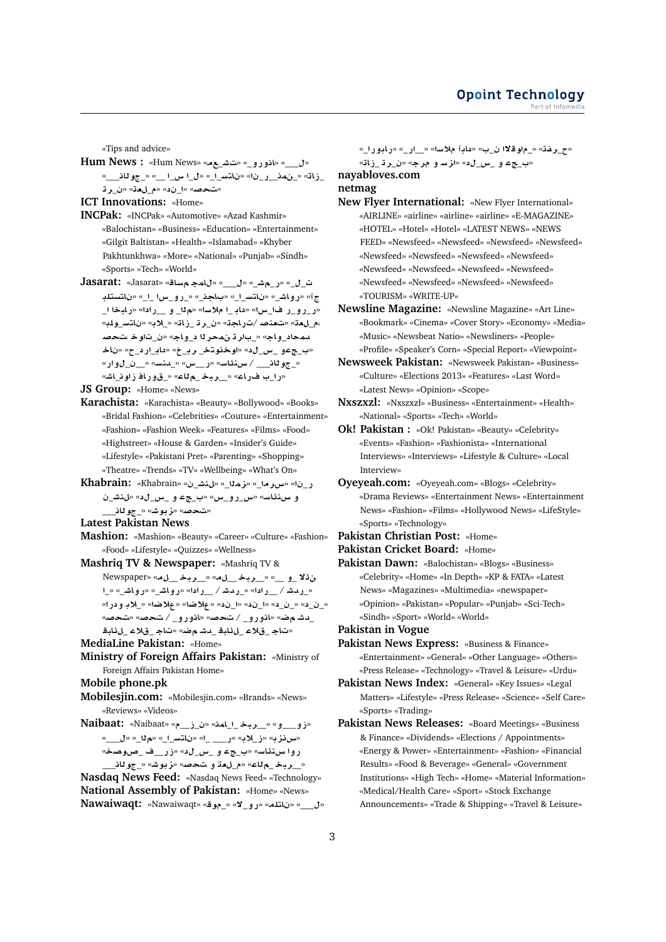«Tips and advice»

**Hum News :** «Hum News» «\_**J** » «\_**¤C¤A**» «\_\_\_» «\_\_\_**Aw**\_» «\_\_ \_**x** \_» «\_\_**FtA** » «\_**C**\_\_**m**\_» «**AE**\_ **r**\_» «**`**\_» «\_» «**}** »

**ICT Innovations:** «Home»

- **INCPak:** «INCPak» «Automotive» «Azad Kashmir» «Balochistan» «Business» «Education» «Entertainment» «Gilgit Baltistan» «Health» «Islamabad» «Khyber Pakhtunkhwa» «More» «National» «Punjab» «Sindh» «Sports» «Tech» «World»
- **Jasarat:** «Jasarat» «**AF mA**» «\_\_\_» «\_**J**\_**C**» «\_\_ ج آ» «رواش\_» «ناتس\_ا\_» «بـاجذ\_» «\_رو\_سI \_ا\_» «ناتستلد «ر\_رو\_ر فا\_س» «داب\_ا ملاسه» «م1ا\_ و\_\_راده» «رابخا ا\_ «**lw**\_**FtA** » «**®**\_» «**AE**\_ **r**\_» «**AC**/ **}n`** » «**`**\_**,**  $\mu$ ه حاد\_و اج» «\_بار ڌ نهحر لا د\_و اج» «ن\_تاو خـ سـ*ُحص* **A** » «\_ **C**\_**A** » «\_**r** \_**tww**» «\_**x**\_ **¤**\_» «\_جو ثان\_\_\_/ س. نظاسه» «ر\_\_س» «\_بنسه» «\_\_ن\_ل وار» «را\_ب فـراع» «\_\_ربـخـ \_مiلع» «\_قورافـزاونـ*ـ*اش»

**JS Group:** «Home» «News»

- **Karachista:** «Karachista» «Beauty» «Bollywood» «Books» «Bridal Fashion» «Celebrities» «Couture» «Entertainment» «Fashion» «Fashion Week» «Features» «Films» «Food» «Highstreet» «House & Garden» «Insider's Guide» «Lifestyle» «Pakistani Pret» «Parenting» «Shopping» «Theatre» «Trends» «TV» «Wellbeing» «What's On»
- **Khabrain:** «Khabrain» «\_**Jn**» «\_**mz**» «\_**rx**» «\_**C** \_**Jn**» «\_**x**\_ **¤** \_» «**x**\_**¤C**\_**x**» «**FA¶nH ¤** \_\_\_**Aw**\_» «**Jwz**» «**}** »

**Latest Pakistan News**

- **Mashion:** «Mashion» «Beauty» «Career» «Culture» «Fashion» «Food» «Lifestyle» «Quizzes» «Wellness»
- **Mashriq TV & Newspaper:** «Mashriq TV & Newspaper» «\_\_ **br**\_\_» «\_\_ **br**\_\_» «\_\_ **¤**\_ **¯¶** \_» «\_**JA¤C**» «\_**JA¤C**» « **C**\_\_ / **JdC**\_» « **C**\_\_ / **JdC**\_» «**C ¤ ®**\_» «**R®**» «**R®**» «\_» «\_» «\_\_» «\_\_» \_دشــم ضه «انورو\_ / تحصه «انورو\_ / تحصه «تحصه **bA¶**\_ **®**\_ **A**» «**R Jd**\_ **bA¶**\_ **®**\_ **A**»
- **MediaLine Pakistan:** «Home»
- **Ministry of Foreign Affairs Pakistan:** «Ministry of Foreign Affairs Pakistan Home»

**Mobile phone.pk**

- **Mobilesjin.com:** «Mobilesjin.com» «Brands» «News» «Reviews» «Videos»
- **Naibaat:** «Naibaat» «\_\_**E**\_» «**mA**\_\_ **br**\_\_» «**¤**\_\_\_**¤E**» «\_\_\_» «\_» «\_\_**FtA** » «\_ \_\_\_**C**» «**®**\_**E**» «**zH**» «**OwQ**\_ \_\_**CE**» «\_**x**\_ **¤** \_» «**FA¶nH ¤C** «\_\_ربخ\_م<mark>لاع» «م\_لeة و تحصه» «زبوشه «\_جولل</mark>ف

**Nasdaq News Feed:** «Nasdaq News Feed» «Technology» **National Assembly of Pakistan:** «Home» «News» **Nawaiwaqt:** «Nawaiwaqt» «**w**\_» «**¯**\_**¤C**» «**ltA** » «\_\_\_»

«ح\_رغة» «\_م|وقلاً أن\_ب» «داباً ملاساً» «\_\_ار\_» «رابو رأ\_» «**AE**\_ **r**\_» «**r ¤ Fz**» «\_**x**\_ **¤** \_» **nayabloves.com**

#### **netmag**

- **New Flyer International:** «New Flyer International» «AIRLINE» «airline» «airline» «airline» «E-MAGAZINE» «HOTEL» «Hotel» «Hotel» «LATEST NEWS» «NEWS FEED» «Newsfeed» «Newsfeed» «Newsfeed» «Newsfeed» «Newsfeed» «Newsfeed» «Newsfeed» «Newsfeed» «Newsfeed» «Newsfeed» «Newsfeed» «Newsfeed» «Newsfeed» «Newsfeed» «Newsfeed» «Newsfeed» «TOURISM» «WRITE-UP»
- **Newsline Magazine:** «Newsline Magazine» «Art Line» «Bookmark» «Cinema» «Cover Story» «Economy» «Media» «Music» «Newsbeat Natio» «Newsliners» «People» «Profile» «Speaker's Corn» «Special Report» «Viewpoint»
- **Newsweek Pakistan:** «Newsweek Pakistan» «Business» «Culture» «Elections 2013» «Features» «Last Word» «Latest News» «Opinion» «Scope»
- **Nxszxzl:** «Nxszxzl» «Business» «Entertainment» «Health» «National» «Sports» «Tech» «World»
- **Ok! Pakistan :** «Ok! Pakistan» «Beauty» «Celebrity» «Events» «Fashion» «Fashionista» «International Interviews» «Interviews» «Lifestyle & Culture» «Local Interview»
- **Oyeyeah.com:** «Oyeyeah.com» «Blogs» «Celebrity» «Drama Reviews» «Entertainment News» «Entertainment News» «Fashion» «Films» «Hollywood News» «LifeStyle» «Sports» «Technology»
- **Pakistan Christian Post:** «Home»
- **Pakistan Cricket Board:** «Home»
- **Pakistan Dawn:** «Balochistan» «Blogs» «Business» «Celebrity» «Home» «In Depth» «KP & FATA» «Latest News» «Magazines» «Multimedia» «newspaper» «Opinion» «Pakistan» «Popular» «Punjab» «Sci-Tech» «Sindh» «Sport» «World» «World»
- **Pakistan in Vogue**
- **Pakistan News Express:** «Business & Finance» «Entertainment» «General» «Other Language» «Others» «Press Release» «Technology» «Travel & Leisure» «Urdu»
- **Pakistan News Index:** «General» «Key Issues» «Legal Matters» «Lifestyle» «Press Release» «Science» «Self Care» «Sports» «Trading»
- **Pakistan News Releases:** «Board Meetings» «Business & Finance» «Dividends» «Elections / Appointments» «Energy & Power» «Entertainment» «Fashion» «Financial Results» «Food & Beverage» «General» «Government Institutions» «High Tech» «Home» «Material Information» «Medical/Health Care» «Sport» «Stock Exchange Announcements» «Trade & Shipping» «Travel & Leisure»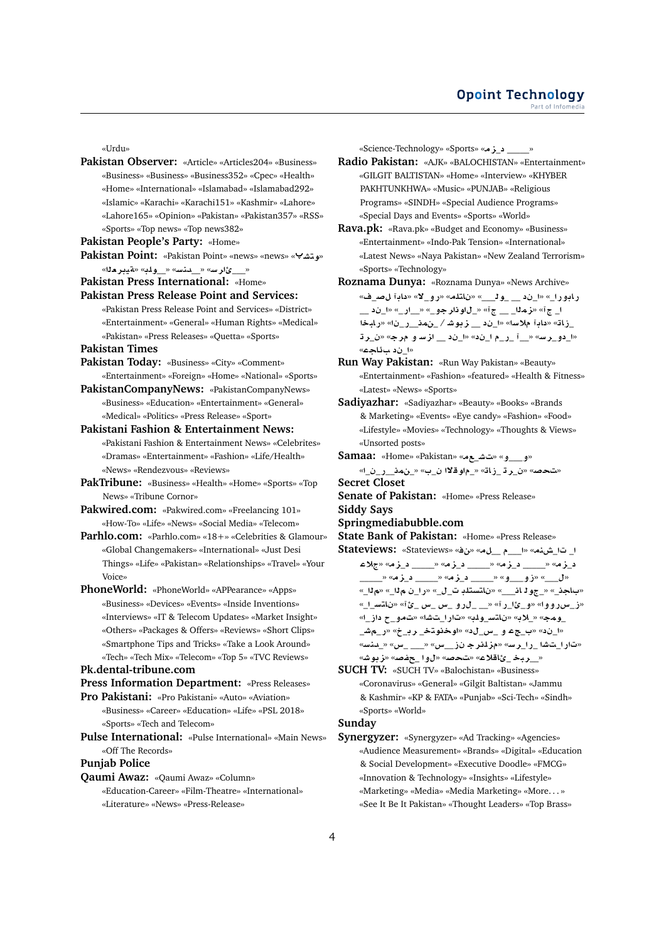«Urdu»

- **Pakistan Observer:** «Article» «Articles204» «Business» «Business» «Business» «Business352» «Cpec» «Health» «Home» «International» «Islamabad» «Islamabad292» «Islamic» «Karachi» «Karachi151» «Kashmir» «Lahore» «Lahore165» «Opinion» «Pakistan» «Pakistan357» «RSS» «Sports» «Top news» «Top news382»
- **Pakistan People's Party:** «Home»
- **Pakistan Point:** «Pakistan Point» «news» «news» « **Jtw**» « \_\_ ئارسه « \_ دنسه « \_ ولمه «هيبر مثله»
- **Pakistan Press International:** «Home»
- **Pakistan Press Release Point and Services:** «Pakistan Press Release Point and Services» «District» «Entertainment» «General» «Human Rights» «Medical» «Pakistan» «Press Releases» «Quetta» «Sports»
- **Pakistan Times**
- **Pakistan Today:** «Business» «City» «Comment» «Entertainment» «Foreign» «Home» «National» «Sports»
- **PakistanCompanyNews:** «PakistanCompanyNews» «Business» «Education» «Entertainment» «General» «Medical» «Politics» «Press Release» «Sport»
- **Pakistani Fashion & Entertainment News:** «Pakistani Fashion & Entertainment News» «Celebrites» «Dramas» «Entertainment» «Fashion» «Life/Health» «News» «Rendezvous» «Reviews»
- **PakTribune:** «Business» «Health» «Home» «Sports» «Top News» «Tribune Cornor»
- **Pakwired.com:** «Pakwired.com» «Freelancing 101» «How-To» «Life» «News» «Social Media» «Telecom»
- **Parhlo.com:** «Parhlo.com» «18+» «Celebrities & Glamour» «Global Changemakers» «International» «Just Desi Things» «Life» «Pakistan» «Relationships» «Travel» «Your Voice»
- **PhoneWorld:** «PhoneWorld» «APPearance» «Apps» «Business» «Devices» «Events» «Inside Inventions» «Interviews» «IT & Telecom Updates» «Market Insight» «Others» «Packages & Offers» «Reviews» «Short Clips» «Smartphone Tips and Tricks» «Take a Look Around» «Tech» «Tech Mix» «Telecom» «Top 5» «TVC Reviews»

## **Pk.dental-tribune.com**

**Press Information Department:** «Press Releases»

- **Pro Pakistani:** «Pro Pakistani» «Auto» «Aviation»
	- «Business» «Career» «Education» «Life» «PSL 2018» «Sports» «Tech and Telecom»
- **Pulse International:** «Pulse International» «Main News» «Off The Records»

# **Punjab Police**

**Qaumi Awaz:** «Qaumi Awaz» «Column» «Education-Career» «Film-Theatre» «International» «Literature» «News» «Press-Release»

«Science-Technology» «Sports» «**z**\_\_\_\_\_\_»

- **Radio Pakistan:** «AJK» «BALOCHISTAN» «Entertainment» «GILGIT BALTISTAN» «Home» «Interview» «KHYBER PAKHTUNKHWA» «Music» «PUNJAB» «Religious Programs» «SINDH» «Special Audience Programs» «Special Days and Events» «Sports» «World»
- **Rava.pk:** «Rava.pk» «Budget and Economy» «Business» «Entertainment» «Indo-Pak Tension» «International» «Latest News» «Naya Pakistan» «New Zealand Terrorism» «Sports» «Technology»
- **Roznama Dunya:** «Roznama Dunya» «News Archive» «\_**} A** » «**¯**\_**¤C**» «**ltA** » «\_\_\_**w**\_ \_\_\_» «\_**C¤AC** \_\_\_» «\_**C**\_\_» «\_**¤rw**\_» « \_\_ \_**mz**» « \_ **bAC**» «\_**C**\_\_**m**\_ / **Jwz** \_\_\_» «**F® A** » «**AE**\_ **r**\_» «**r ¤ Fz** \_\_\_» «\_\_**C**\_ \_\_» «**Fr**\_**¤** \_» «ا ن**د سؤا**حم»
- **Run Way Pakistan:** «Run Way Pakistan» «Beauty» «Entertainment» «Fashion» «featured» «Health & Fitness» «Latest» «News» «Sports»
- **Sadiyazhar:** «Sadiyazhar» «Beauty» «Books» «Brands & Marketing» «Events» «Eye candy» «Fashion» «Food» «Lifestyle» «Movies» «Technology» «Thoughts & Views» «Unsorted posts»
- **Samaa:** «Home» «Pakistan» «\_**J** » «**¤**\_\_\_**¤**» «تحصه «ن\_ر ڌ\_زاڌ» «\_م|و قلاا ن\_ب» «\_نمذ\_\_ ر\_ن\_ا»

**Secret Closet**

- **Senate of Pakistan:** «Home» «Press Release» **Siddy Says**
- **Springmediabubble.com**
- **State Bank of Pakistan:** «Home» «Press Release»
- **Stateviews:** «Stateviews» «» «\_\_ \_\_\_» «**nL**\_ \_ **®**» «**z**\_\_\_\_\_\_» «**z**\_\_\_\_\_\_» «**z**\_\_\_\_\_\_» «**z**\_ \_\_\_\_\_» «**z**\_\_\_\_\_\_» «**z**\_\_\_\_\_\_» «**¤**\_\_\_**¤E**» «\_\_\_» «باجذ\_» «\_جو 1 ان\_\_\_» «ناتستلڊ ت\_ل\_» «را\_ن مi1\_» «مi1\_» «\_\_**FtA** » «**¹**\_ **x**\_ **x**\_ **¤C**\_ \_\_» «**C**\_**¹**\_**¤**» «**¤¤Cx**\_**E**» \_ومج» «\_لاب» «ناتس\_ولب» «تارا\_تشا» «تمو\_ح داز\_ا» \_**J**\_**C**» «\_**r** \_**tww**» «\_**x**\_ **¤** \_» «\_» «**Fnd**\_» «**x**\_ \_\_\_» «**x**\_\_**E rlz**» «**Fr**\_**C**\_ **J** \_**C**» «\_ربخ\_ئاقلاع» «تحصه «ل9] \_جفصه «زبوشه
- **SUCH TV:** «SUCH TV» «Balochistan» «Business» «Coronavirus» «General» «Gilgit Baltistan» «Jammu & Kashmir» «KP & FATA» «Punjab» «Sci-Tech» «Sindh» «Sports» «World»

## **Sunday**

**Synergyzer:** «Synergyzer» «Ad Tracking» «Agencies» «Audience Measurement» «Brands» «Digital» «Education & Social Development» «Executive Doodle» «FMCG» «Innovation & Technology» «Insights» «Lifestyle» «Marketing» «Media» «Media Marketing» «More. . . » «See It Be It Pakistan» «Thought Leaders» «Top Brass»